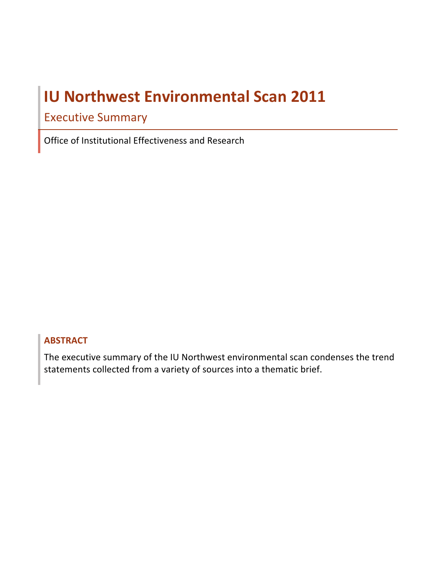# **IU Northwest Environmental Scan 2011**

## Executive Summary

 Office of Institutional Effectiveness and Research

## **ABSTRACT**

The executive summary of the IU Northwest environmental scan condenses the trend statements collected from a variety of sources into a thematic brief.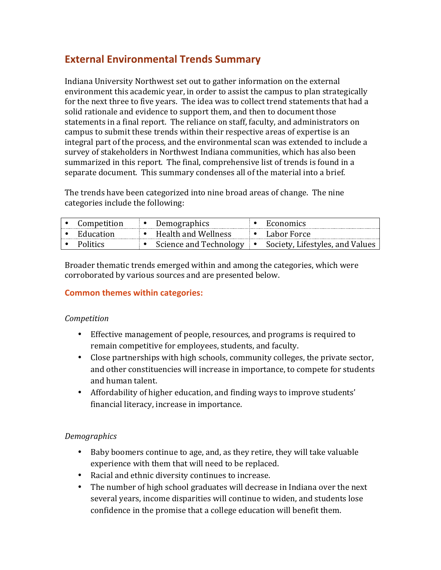## **External Environmental Trends Summary**

separate document. This summary condenses all of the material into a brief. Indiana University Northwest set out to gather information on the external environment this academic year, in order to assist the campus to plan strategically for the next three to five vears. The idea was to collect trend statements that had a solid rationale and evidence to support them, and then to document those statements in a final report. The reliance on staff, faculty, and administrators on campus to submit these trends within their respective areas of expertise is an integral part of the process, and the environmental scan was extended to include a survey of stakeholders in Northwest Indiana communities, which has also been summarized in this report. The final, comprehensive list of trends is found in a

The trends have been categorized into nine broad areas of change. The nine categories include the following:

| Competition         | Demographics                  | Economics                                 |
|---------------------|-------------------------------|-------------------------------------------|
| $\bullet$ Education | $\bullet$ Health and Wellness | $\bullet$ Labor Force                     |
| <b>Politics</b>     | • Science and Technology      | $\bullet$ Society, Lifestyles, and Values |

Broader thematic trends emerged within and among the categories, which were corroborated by various sources and are presented below.

## **Common themes within categories:**

## *Competition*

- Effective management of people, resources, and programs is required to remain competitive for employees, students, and faculty.
- and other constituencies will increase in importance, to compete for students • Close partnerships with high schools, community colleges, the private sector, and human talent.
- Affordability of higher education, and finding ways to improve students' financial literacy, increase in importance.

## *Demographics*

- Baby boomers continue to age, and, as they retire, they will take valuable experience with them that will need to be replaced.
- Racial and ethnic diversity continues to increase.
- The number of high school graduates will decrease in Indiana over the next several years, income disparities will continue to widen, and students lose confidence in the promise that a college education will benefit them.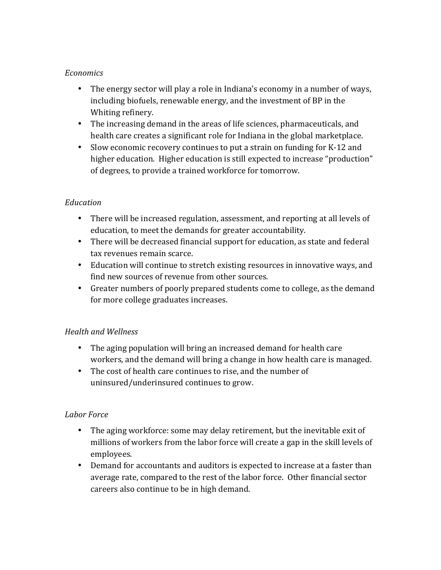## *Economics*

- Whiting refinery. • The energy sector will play a role in Indiana's economy in a number of ways, including biofuels, renewable energy, and the investment of BP in the
- The increasing demand in the areas of life sciences, pharmaceuticals, and health care creates a significant role for Indiana in the global marketplace.
- Slow economic recovery continues to put a strain on funding for K-12 and higher education. Higher education is still expected to increase "production" of degrees, to provide a trained workforce for tomorrow.

## *Education*

- There will be increased regulation, assessment, and reporting at all levels of education, to meet the demands for greater accountability.
- There will be decreased financial support for education, as state and federal tax revenues remain scarce.
- Education will continue to stretch existing resources in innovative ways, and find new sources of revenue from other sources.
- Greater numbers of poorly prepared students come to college, as the demand for more college graduates increases.

## *Health and Wellness*

- workers, and the demand will bring a change in how health care is managed. • The aging population will bring an increased demand for health care
- The cost of health care continues to rise, and the number of uninsured/underinsured continues to grow.

## *Labor Force*

- millions of workers from the labor force will create a gap in the skill levels of • The aging workforce: some may delay retirement, but the inevitable exit of employees.
- Demand for accountants and auditors is expected to increase at a faster than average rate, compared to the rest of the labor force. Other financial sector careers also continue to be in high demand.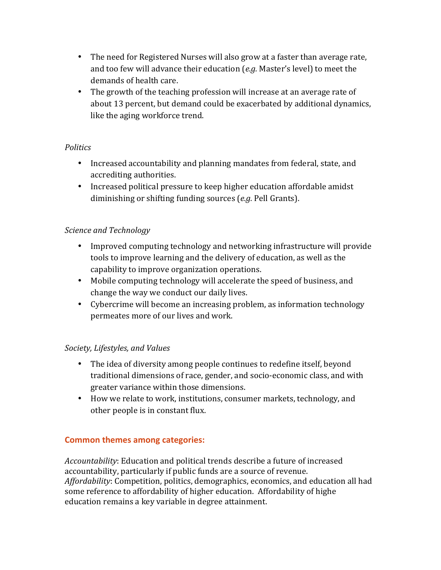- and too few will advance their education (e.g. Master's level) to meet the • The need for Registered Nurses will also grow at a faster than average rate, demands of health care.
- about 13 percent, but demand could be exacerbated by additional dynamics, • The growth of the teaching profession will increase at an average rate of like the aging workforce trend.

## *Politics*

- Increased accountability and planning mandates from federal, state, and accrediting authorities.
- Increased political pressure to keep higher education affordable amidst diminishing or shifting funding sources (*e.g.* Pell Grants).

## *Science and Technology*

- Improved computing technology and networking infrastructure will provide tools to improve learning and the delivery of education, as well as the capability to improve organization operations.
- Mobile computing technology will accelerate the speed of business, and change the way we conduct our daily lives.
- permeates more of our lives and work. • Cybercrime will become an increasing problem, as information technology

## *Society, Lifestyles, and Values*

- The idea of diversity among people continues to redefine itself, beyond traditional dimensions of race, gender, and socio-economic class, and with greater variance within those dimensions.
- How we relate to work, institutions, consumer markets, technology, and other people is in constant flux.

## **Common themes among categories:**

Accountability: Education and political trends describe a future of increased accountability, particularly if public funds are a source of revenue. *Affordability*: Competition, politics, demographics, economics, and education all had some reference to affordability of higher education. Affordability of highe education remains a key variable in degree attainment.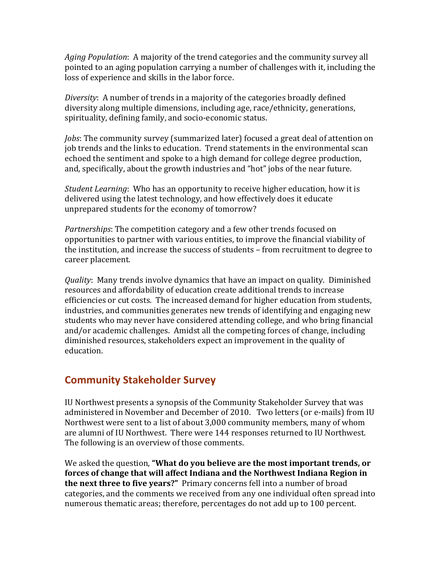Aging Population: A majority of the trend categories and the community survey all pointed to an aging population carrying a number of challenges with it, including the loss of experience and skills in the labor force.

 *Diversity*: A number of trends in a majority of the categories broadly defined diversity along multiple dimensions, including age, race/ethnicity, generations, spirituality, defining family, and socio-economic status.

*Jobs*: The community survey (summarized later) focused a great deal of attention on echoed the sentiment and spoke to a high demand for college degree production, job trends and the links to education. Trend statements in the environmental scan and, specifically, about the growth industries and "hot" jobs of the near future.

delivered using the latest technology, and how effectively does it educate unprepared students for the economy of tomorrow? *Student Learning*: Who has an opportunity to receive higher education, how it is

*Partnerships*: The competition category and a few other trends focused on opportunities to partner with various entities, to improve the financial viability of the institution, and increase the success of students – from recruitment to degree to career placement.

*Quality*: Many trends involve dynamics that have an impact on quality. Diminished resources and affordability of education create additional trends to increase efficiencies or cut costs. The increased demand for higher education from students, industries, and communities generates new trends of identifying and engaging new students who may never have considered attending college, and who bring financial and/or academic challenges. Amidst all the competing forces of change, including diminished resources, stakeholders expect an improvement in the quality of education.

## **Community Stakeholder Survey**

administered in November and December of 2010. Two letters (or e-mails) from IU are alumni of IU Northwest. There were 144 responses returned to IU Northwest. IU Northwest presents a synopsis of the Community Stakeholder Survey that was Northwest were sent to a list of about 3,000 community members, many of whom The following is an overview of those comments.

We asked the question, "What do you believe are the most important trends, or  **forces of change that will affect Indiana and the Northwest Indiana Region in the next three to five years?"** Primary concerns fell into a number of broad categories, and the comments we received from any one individual often spread into numerous thematic areas; therefore, percentages do not add up to 100 percent.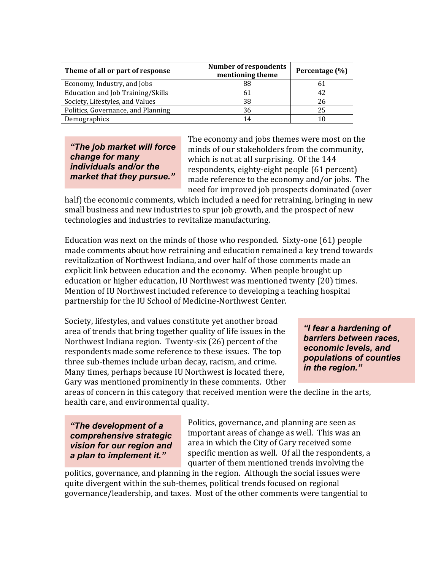| Theme of all or part of response   | <b>Number of respondents</b><br>mentioning theme | Percentage (%) |
|------------------------------------|--------------------------------------------------|----------------|
| Economy, Industry, and Jobs        | 88                                               | 61             |
| Education and Job Training/Skills  |                                                  | 42             |
| Society, Lifestyles, and Values    | 38                                               | 26             |
| Politics, Governance, and Planning | 36                                               | 25             |
| Demographics                       | 14                                               | 10             |

market that they pursue."

**"The job market will force** ininds of our stakeholders from the community, **change for many** *change for many* which is not at all surprising. Of the 144 *individuals and/or the respondents, eighty-eight people* (61 percent)<br>*market that they pursue."* ande reference to the economy and/or jobs. The The economy and jobs themes were most on the need for improved job prospects dominated (over

half) the economic comments, which included a need for retraining, bringing in new small business and new industries to spur job growth, and the prospect of new technologies and industries to revitalize manufacturing.

Education was next on the minds of those who responded. Sixty-one (61) people made comments about how retraining and education remained a key trend towards partnership for the IU School of Medicine-Northwest Center. revitalization of Northwest Indiana, and over half of those comments made an explicit link between education and the economy. When people brought up education or higher education, IU Northwest was mentioned twenty (20) times. Mention of IU Northwest included reference to developing a teaching hospital

Society, lifestyles, and values constitute yet another broad<br>area of trends that bring together quality of life issues in the *"I fear a hardening of* **barriers between races, b**arriers between races, **Northwest** Indiana region. Twenty-six (26) percent of the Many times, perhaps because IU Northwest is located there, respondents made some reference to these issues. The top<br>three sub-themes include urban decay, racism, and crime.<br>Many times, perhaps because III Northwest is located there<br>**in the region.**" Gary was mentioned prominently in these comments. Other

areas of concern in this category that received mention were the decline in the arts, health care, and environmental quality.

Politics, governance, and planning are seen as **"The development of a** Politics, governance, and planning are seen as **comprehensive strategic** important areas of change as well. This was an **vision for our region and** area in which the City of Gary received some *a plan to implement it."* specific mention as well. Of all the respondents, a quarter of them mentioned trends involving the

politics, governance, and planning in the region. Although the social issues were quite divergent within the sub-themes, political trends focused on regional governance/leadership, and taxes. Most of the other comments were tangential to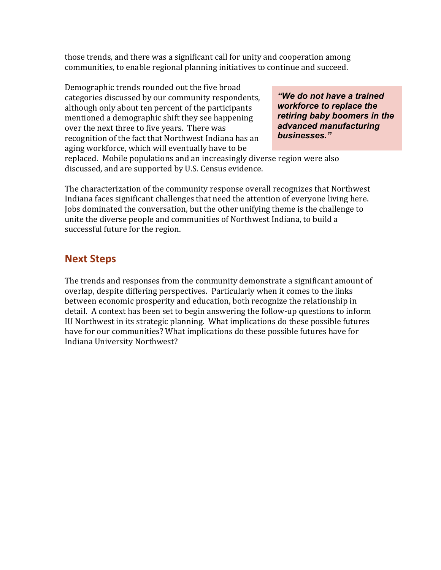those trends, and there was a significant call for unity and cooperation among communities, to enable regional planning initiatives to continue and succeed.

although only about ten percent of the participants *workforce to replace the* mentioned a demographic shift they see happening **retiring baby boomers in the** aging workforce, which will eventually have to be Demographic trends rounded out the five broad categories discussed by our community respondents, **"We do not have a trained**"<br>although only about ten percent of the participants *workforce to replace the* over the next three to five years. There was<br>recognition of the fact that Northwest Indiana has an **businesses.**" recognition of the fact that Northwest Indiana has an

replaced. Mobile populations and an increasingly diverse region were also discussed, and are supported by U.S. Census evidence.

unite the diverse people and communities of Northwest Indiana, to build a The characterization of the community response overall recognizes that Northwest Indiana faces significant challenges that need the attention of everyone living here. Jobs dominated the conversation, but the other unifying theme is the challenge to successful future for the region.

## **Next Steps**

between economic prosperity and education, both recognize the relationship in detail. A context has been set to begin answering the follow-up questions to inform The trends and responses from the community demonstrate a significant amount of overlap, despite differing perspectives. Particularly when it comes to the links IU Northwest in its strategic planning. What implications do these possible futures have for our communities? What implications do these possible futures have for Indiana University Northwest?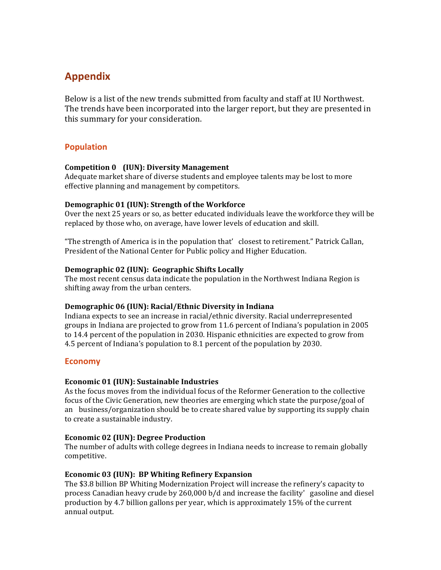## **Appendix**

Below is a list of the new trends submitted from faculty and staff at IU Northwest. The trends have been incorporated into the larger report, but they are presented in this summary for your consideration.

## **Population**

#### **Competition 0 (IUN): Diversity Management**

 Adequate market share of diverse students and employee talents may be lost to more effective planning and management by competitors.

#### **Demographic 01 (IUN): Strength of the Workforce**

Over the next 25 years or so, as better educated individuals leave the workforce they will be replaced by those who, on average, have lower levels of education and skill.

"The strength of America is in the population that' closest to retirement." Patrick Callan, President of the National Center for Public policy and Higher Education.

#### **Demographic 02 (IUN): Geographic Shifts Locally**

The most recent census data indicate the population in the Northwest Indiana Region is shifting away from the urban centers.

#### **Demographic 06 (IUN): Racial/Ethnic Diversity in Indiana**

Indiana expects to see an increase in racial/ethnic diversity. Racial underrepresented groups in Indiana are projected to grow from 11.6 percent of Indiana's population in 2005 to 14.4 percent of the population in 2030. Hispanic ethnicities are expected to grow from 4.5 percent of Indiana's population to 8.1 percent of the population by 2030.

#### **Economy**

#### **Economic 01 (IUN): Sustainable Industries**

 As the focus moves from the individual focus of the Reformer Generation to the collective an business/organization should be to create shared value by supporting its supply chain to create a sustainable industry. focus of the Civic Generation, new theories are emerging which state the purpose/goal of

#### **Economic 02 (IUN): Degree Production**

The number of adults with college degrees in Indiana needs to increase to remain globally competitive.

#### **Economic 03 (IUN): BP Whiting Refinery Expansion**

The \$3.8 billion BP Whiting Modernization Project will increase the refinery's capacity to process Canadian heavy crude by 260,000 b/d and increase the facility' gasoline and diesel production by 4.7 billion gallons per year, which is approximately 15% of the current annual output.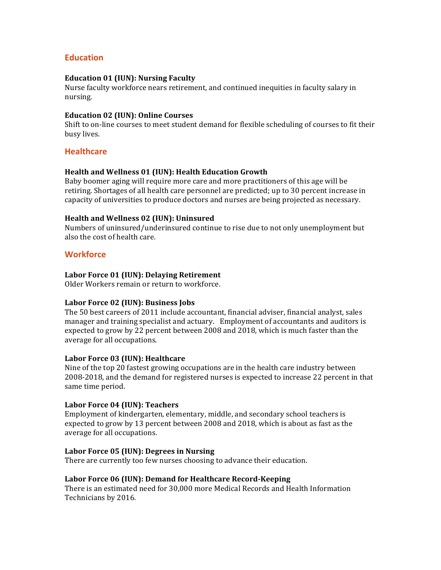### **Education**

#### **Education 01 (IUN): Nursing Faculty**

 Nurse faculty workforce nears retirement, and continued inequities in faculty salary in nursing.

#### **Education 02 (IUN): Online Courses**

Shift to on-line courses to meet student demand for flexible scheduling of courses to fit their busy lives.

#### **Healthcare**

#### **Health and Wellness 01 (IUN): Health Education Growth**

Baby boomer aging will require more care and more practitioners of this age will be retiring. Shortages of all health care personnel are predicted; up to 30 percent increase in capacity of universities to produce doctors and nurses are being projected as necessary.

#### **Health and Wellness 02 (IUN): Uninsured**

 Numbers of uninsured/underinsured continue to rise due to not only unemployment but also the cost of health care.

#### **Workforce**

#### **Labor Force 01 (IUN): Delaying Retirement**

 Older Workers remain or return to workforce.

#### **Labor Force 02 (IUN): Business Jobs**

The 50 best careers of 2011 include accountant, financial adviser, financial analyst, sales manager and training specialist and actuary. Employment of accountants and auditors is expected to grow by 22 percent between 2008 and 2018, which is much faster than the average for all occupations.

#### **Labor Force 03 (IUN): Healthcare**

 Nine of the top 20 fastest growing occupations are in the health care industry between 2008-2018, and the demand for registered nurses is expected to increase 22 percent in that same time period.

#### **Labor Force 04 (IUN): Teachers**

 Employment of kindergarten, elementary, middle, and secondary school teachers is expected to grow by 13 percent between 2008 and 2018, which is about as fast as the average for all occupations.

#### **Labor Force 05 (IUN): Degrees in Nursing**

 There are currently too few nurses choosing to advance their education.

#### **Labor Force 06 (IUN): Demand for Healthcare Record-Keeping**

There is an estimated need for 30,000 more Medical Records and Health Information Technicians by 2016.